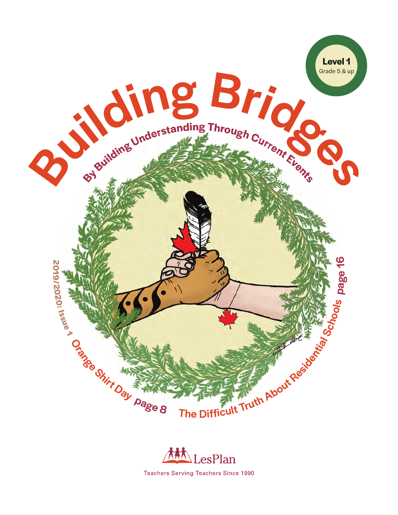



**Teachers Serving Teachers Since 1990**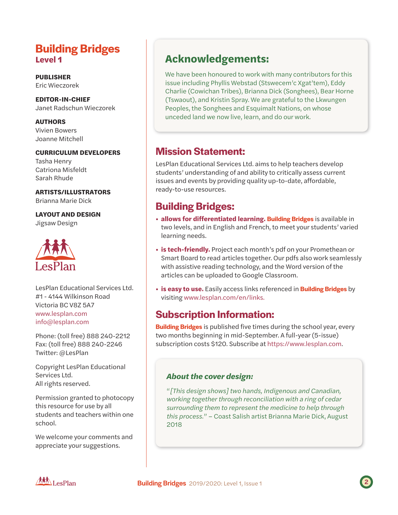## **Building Bridges Level 1**

**PUBLISHER** Eric Wieczorek

**EDITOR-IN-CHIEF** Janet Radschun Wieczorek

**AUTHORS** Vivien Bowers Joanne Mitchell

#### **CURRICULUM DEVELOPERS**

Tasha Henry Catriona Misfeldt Sarah Rhude

#### **ARTISTS/ILLUSTRATORS**

Brianna Marie Dick

#### **LAYOUT AND DESIGN**

Jigsaw Design



LesPlan Educational Services Ltd. #1 - 4144 Wilkinson Road Victoria BC V8Z 5A7 www.lesplan.com info@lesplan.com

Phone: (toll free) 888 240-2212 Fax: (toll free) 888 240-2246 Twitter: @LesPlan

Copyright LesPlan Educational Services Ltd. All rights reserved.

Permission granted to photocopy this resource for use by all students and teachers within one school.

We welcome your comments and appreciate your suggestions.

# **Acknowledgements:**

We have been honoured to work with many contributors for this issue including Phyllis Webstad (Stswecem'c Xgat'tem), Eddy Charlie (Cowichan Tribes), Brianna Dick (Songhees), Bear Horne (Tswaout), and Kristin Spray. We are grateful to the Lkwungen Peoples, the Songhees and Esquimalt Nations, on whose unceded land we now live, learn, and do our work.

## **Mission Statement:**

LesPlan Educational Services Ltd. aims to help teachers develop students' understanding of and ability to critically assess current issues and events by providing quality up-to-date, affordable, ready-to-use resources.

# **Building Bridges:**

- **allows for differentiated learning. Building Bridges** is available in two levels, and in English and French, to meet your students' varied learning needs.
- **is tech-friendly.** Project each month's pdf on your Promethean or Smart Board to read articles together. Our pdfs also work seamlessly with assistive reading technology, and the Word version of the articles can be uploaded to Google Classroom.
- **is easy to use.** Easily access links referenced in **Building Bridges** by visiting www.lesplan.com/en/links.

## **Subscription Information:**

**Building Bridges** is published five times during the school year, every two months beginning in mid-September. A full-year (5-issue) subscription costs \$120. Subscribe at https://www.lesplan.com.

#### *About the cover design:*

"*[This design shows] two hands, Indigenous and Canadian, working together through reconciliation with a ring of cedar surrounding them to represent the medicine to help through this process.*" – Coast Salish artist Brianna Marie Dick, August 2018

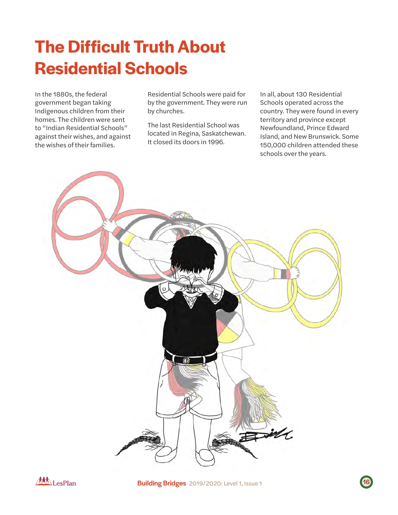# **The Difficult Truth About Residential Schools**

In the 1880s, the federal government began taking Indigenous children from their homes. The children were sent to "Indian Residential Schools" against their wishes, and against the wishes of their families.

Residential Schools were paid for by the government. They were run by churches.

The last Residential School was located in Regina, Saskatchewan. It closed its doors in 1996.

In all, about 130 Residential Schools operated across the country. They were found in every territory and province except Newfoundland, Prince Edward Island, and New Brunswick. Some 150,000 children attended these schools over the years.





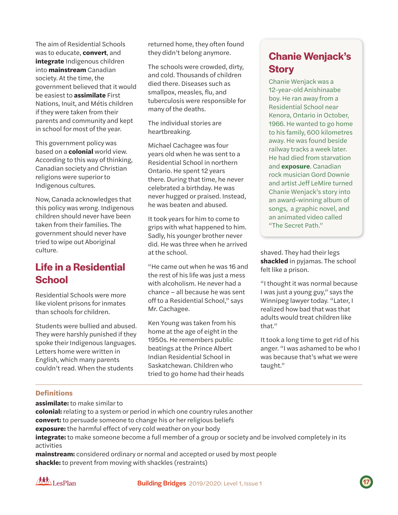The aim of Residential Schools was to educate, **convert**, and **integrate** Indigenous children into **mainstream** Canadian society. At the time, the government believed that it would be easiest to **assimilate** First Nations, Inuit, and Métis children if they were taken from their parents and community and kept in school for most of the year.

This government policy was based on a **colonial** world view. According to this way of thinking, Canadian society and Christian religions were superior to Indigenous cultures.

Now, Canada acknowledges that this policy was wrong. Indigenous children should never have been taken from their families. The government should never have tried to wipe out Aboriginal culture.

# **Life in a Residential School**

Residential Schools were more like violent prisons for inmates than schools for children.

Students were bullied and abused. They were harshly punished if they spoke their Indigenous languages. Letters home were written in English, which many parents couldn't read. When the students

returned home, they often found they didn't belong anymore.

The schools were crowded, dirty, and cold. Thousands of children died there. Diseases such as smallpox, measles, flu, and tuberculosis were responsible for many of the deaths.

The individual stories are heartbreaking.

Michael Cachagee was four years old when he was sent to a Residential School in northern Ontario. He spent 12 years there. During that time, he never celebrated a birthday. He was never hugged or praised. Instead, he was beaten and abused.

It took years for him to come to grips with what happened to him. Sadly, his younger brother never did. He was three when he arrived at the school.

"He came out when he was 16 and the rest of his life was just a mess with alcoholism. He never had a chance – all because he was sent off to a Residential School," says Mr. Cachagee.

Ken Young was taken from his home at the age of eight in the 1950s. He remembers public beatings at the Prince Albert Indian Residential School in Saskatchewan. Children who tried to go home had their heads

# **Chanie Wenjack's Story**

Chanie Wenjack was a 12-year-old Anishinaabe boy. He ran away from a Residential School near Kenora, Ontario in October, 1966. He wanted to go home to his family, 600 kilometres away. He was found beside railway tracks a week later. He had died from starvation and **exposure**. Canadian rock musician Gord Downie and artist Jeff LeMire turned Chanie Wenjack's story into an award-winning album of songs, a graphic novel, and an animated video called "The Secret Path."

shaved. They had their legs **shackled** in pyjamas. The school felt like a prison.

"I thought it was normal because I was just a young guy," says the Winnipeg lawyer today. "Later, I realized how bad that was that adults would treat children like that."

It took a long time to get rid of his anger. "I was ashamed to be who I was because that's what we were taught."

#### **Definitions**

**assimilate:** to make similar to

**colonial:** relating to a system or period in which one country rules another **convert:** to persuade someone to change his or her religious beliefs **exposure:** the harmful effect of very cold weather on your body **integrate:** to make someone become a full member of a group or society and be involved completely in its activities

**mainstream:** considered ordinary or normal and accepted or used by most people **shackle:** to prevent from moving with shackles (restraints)



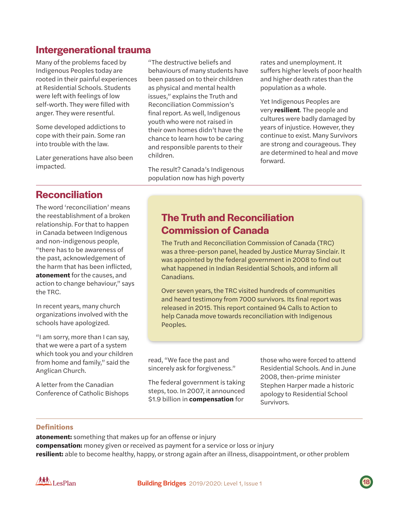## **Intergenerational trauma**

Many of the problems faced by Indigenous Peoples today are rooted in their painful experiences at Residential Schools. Students were left with feelings of low self-worth. They were filled with anger. They were resentful.

Some developed addictions to cope with their pain. Some ran into trouble with the law.

Later generations have also been impacted.

**Reconciliation**

The word 'reconciliation' means the reestablishment of a broken relationship. For that to happen in Canada between Indigenous and non-indigenous people, "there has to be awareness of the past, acknowledgement of the harm that has been inflicted, **atonement** for the causes, and action to change behaviour," says the TRC.

In recent years, many church organizations involved with the schools have apologized.

"I am sorry, more than I can say, that we were a part of a system which took you and your children from home and family," said the Anglican Church.

A letter from the Canadian Conference of Catholic Bishops "The destructive beliefs and behaviours of many students have been passed on to their children as physical and mental health issues," explains the Truth and Reconciliation Commission's final report. As well, Indigenous youth who were not raised in their own homes didn't have the chance to learn how to be caring and responsible parents to their children.

The result? Canada's Indigenous population now has high poverty rates and unemployment. It suffers higher levels of poor health and higher death rates than the population as a whole.

Yet Indigenous Peoples are very **resilient**. The people and cultures were badly damaged by years of injustice. However, they continue to exist. Many Survivors are strong and courageous. They are determined to heal and move forward.

## **The Truth and Reconciliation Commission of Canada**

The Truth and Reconciliation Commission of Canada (TRC) was a three-person panel, headed by Justice Murray Sinclair. It was appointed by the federal government in 2008 to find out what happened in Indian Residential Schools, and inform all Canadians.

Over seven years, the TRC visited hundreds of communities and heard testimony from 7000 survivors. Its final report was released in 2015. This report contained 94 Calls to Action to help Canada move towards reconciliation with Indigenous Peoples.

read, "We face the past and sincerely ask for forgiveness."

The federal government is taking steps, too. In 2007, it announced \$1.9 billion in **compensation** for

those who were forced to attend Residential Schools. And in June 2008, then-prime minister Stephen Harper made a historic apology to Residential School Survivors.

#### **Definitions**

**atonement:** something that makes up for an offense or injury **compensation:** money given or received as payment for a service or loss or injury **resilient:** able to become healthy, happy, or strong again after an illness, disappointment, or other problem